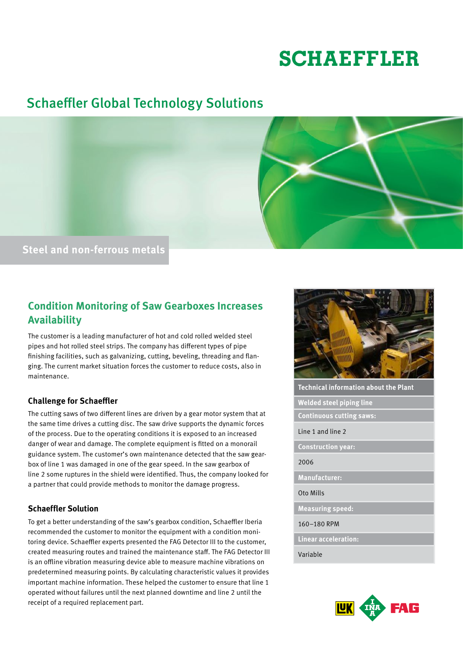# **SCHAEFFLER**

## Schaeffler Global Technology Solutions



### **Condition Monitoring of Saw Gearboxes Increases Availability**

The customer is a leading manufacturer of hot and cold rolled welded steel pipes and hot rolled steel strips. The company has different types of pipe finishing facilities, such as galvanizing, cutting, beveling, threading and flanging. The current market situation forces the customer to reduce costs, also in maintenance.

#### **Challenge for Schaeffler**

The cutting saws of two different lines are driven by a gear motor system that at the same time drives a cutting disc. The saw drive supports the dynamic forces of the process. Due to the operating conditions it is exposed to an increased danger of wear and damage. The complete equipment is fitted on a monorail guidance system. The customer's own maintenance detected that the saw gearbox of line 1 was damaged in one of the gear speed. In the saw gearbox of line 2 some ruptures in the shield were identified. Thus, the company looked for a partner that could provide methods to monitor the damage progress.

#### **Schaeffler Solution**

To get a better understanding of the saw's gearbox condition, Schaeffler Iberia recommended the customer to monitor the equipment with a condition monitoring device. Schaeffler experts presented the FAG Detector III to the customer, created measuring routes and trained the maintenance staff. The FAG Detector III is an offline vibration measuring device able to measure machine vibrations on predetermined measuring points. By calculating characteristic values it provides important machine information. These helped the customer to ensure that line 1 operated without failures until the next planned downtime and line 2 until the receipt of a required replacement part.



**Technical information about the Plant**

**Welded steel piping line**

**Continuous cutting saws:**

Line 1 and line 2

**Construction year:**

#### 2006

**Manufacturer:**

Oto Mills

**Measuring speed:**

160–180 RPM

**Linear acceleration:**

Variable